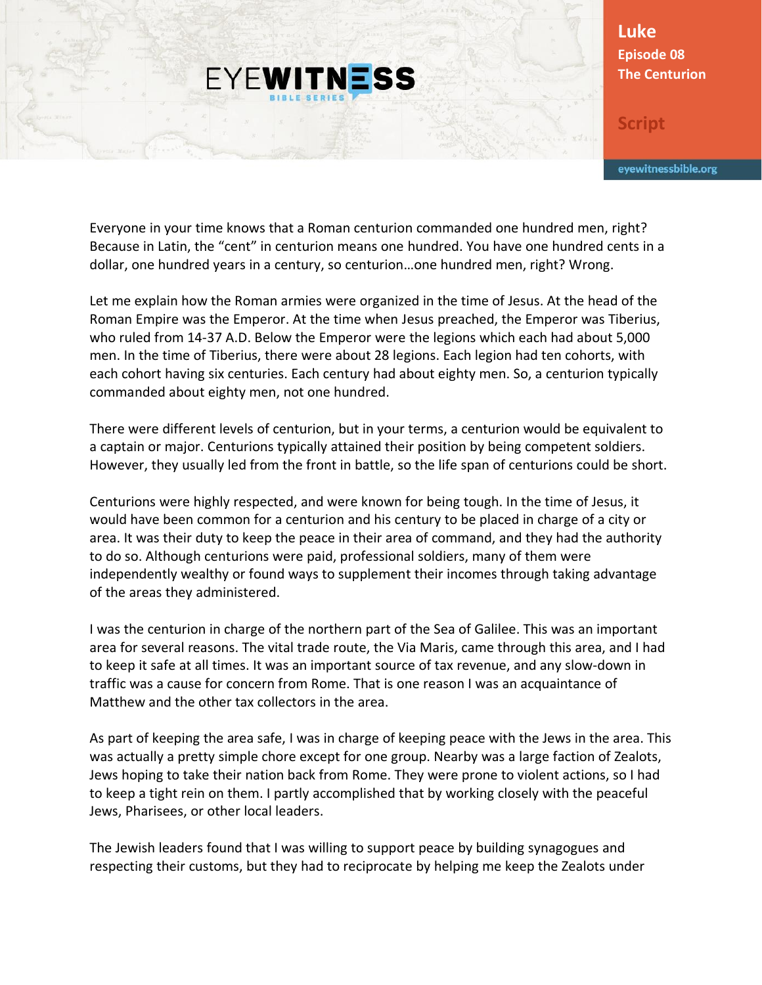## **EYEWITNESS**

**Luke Episode 08 The Centurion**

**Script**

eyewitnessbible.org

Everyone in your time knows that a Roman centurion commanded one hundred men, right? Because in Latin, the "cent" in centurion means one hundred. You have one hundred cents in a dollar, one hundred years in a century, so centurion…one hundred men, right? Wrong.

Let me explain how the Roman armies were organized in the time of Jesus. At the head of the Roman Empire was the Emperor. At the time when Jesus preached, the Emperor was Tiberius, who ruled from 14-37 A.D. Below the Emperor were the legions which each had about 5,000 men. In the time of Tiberius, there were about 28 legions. Each legion had ten cohorts, with each cohort having six centuries. Each century had about eighty men. So, a centurion typically commanded about eighty men, not one hundred.

There were different levels of centurion, but in your terms, a centurion would be equivalent to a captain or major. Centurions typically attained their position by being competent soldiers. However, they usually led from the front in battle, so the life span of centurions could be short.

Centurions were highly respected, and were known for being tough. In the time of Jesus, it would have been common for a centurion and his century to be placed in charge of a city or area. It was their duty to keep the peace in their area of command, and they had the authority to do so. Although centurions were paid, professional soldiers, many of them were independently wealthy or found ways to supplement their incomes through taking advantage of the areas they administered.

I was the centurion in charge of the northern part of the Sea of Galilee. This was an important area for several reasons. The vital trade route, the Via Maris, came through this area, and I had to keep it safe at all times. It was an important source of tax revenue, and any slow-down in traffic was a cause for concern from Rome. That is one reason I was an acquaintance of Matthew and the other tax collectors in the area.

As part of keeping the area safe, I was in charge of keeping peace with the Jews in the area. This was actually a pretty simple chore except for one group. Nearby was a large faction of Zealots, Jews hoping to take their nation back from Rome. They were prone to violent actions, so I had to keep a tight rein on them. I partly accomplished that by working closely with the peaceful Jews, Pharisees, or other local leaders.

The Jewish leaders found that I was willing to support peace by building synagogues and respecting their customs, but they had to reciprocate by helping me keep the Zealots under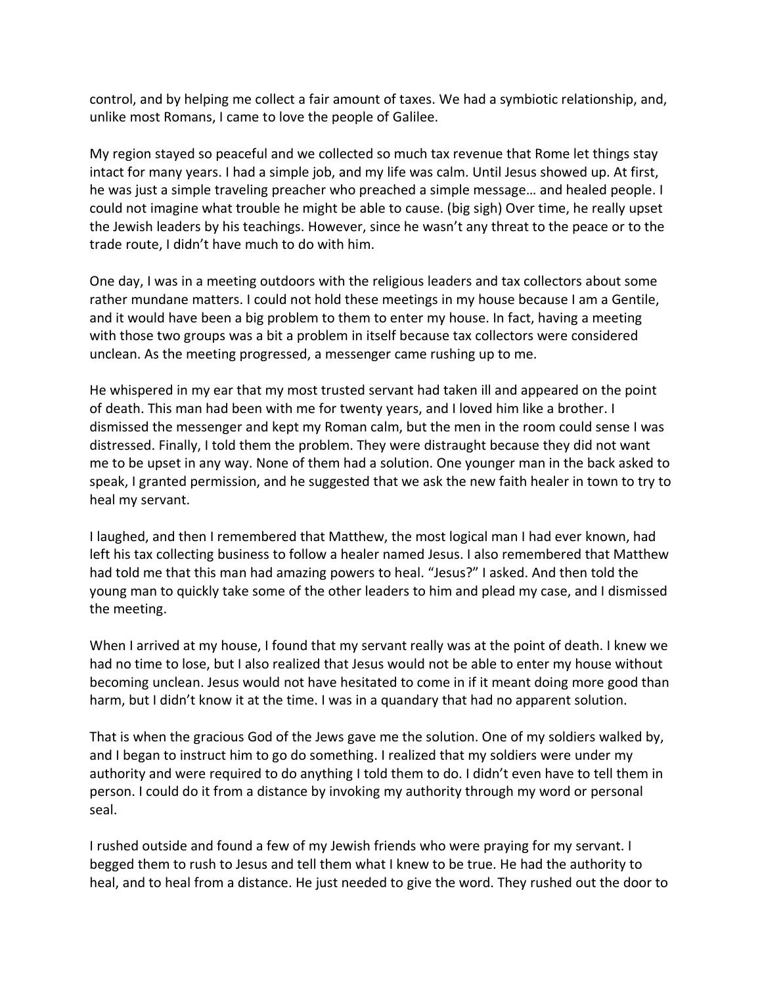control, and by helping me collect a fair amount of taxes. We had a symbiotic relationship, and, unlike most Romans, I came to love the people of Galilee.

My region stayed so peaceful and we collected so much tax revenue that Rome let things stay intact for many years. I had a simple job, and my life was calm. Until Jesus showed up. At first, he was just a simple traveling preacher who preached a simple message… and healed people. I could not imagine what trouble he might be able to cause. (big sigh) Over time, he really upset the Jewish leaders by his teachings. However, since he wasn't any threat to the peace or to the trade route, I didn't have much to do with him.

One day, I was in a meeting outdoors with the religious leaders and tax collectors about some rather mundane matters. I could not hold these meetings in my house because I am a Gentile, and it would have been a big problem to them to enter my house. In fact, having a meeting with those two groups was a bit a problem in itself because tax collectors were considered unclean. As the meeting progressed, a messenger came rushing up to me.

He whispered in my ear that my most trusted servant had taken ill and appeared on the point of death. This man had been with me for twenty years, and I loved him like a brother. I dismissed the messenger and kept my Roman calm, but the men in the room could sense I was distressed. Finally, I told them the problem. They were distraught because they did not want me to be upset in any way. None of them had a solution. One younger man in the back asked to speak, I granted permission, and he suggested that we ask the new faith healer in town to try to heal my servant.

I laughed, and then I remembered that Matthew, the most logical man I had ever known, had left his tax collecting business to follow a healer named Jesus. I also remembered that Matthew had told me that this man had amazing powers to heal. "Jesus?" I asked. And then told the young man to quickly take some of the other leaders to him and plead my case, and I dismissed the meeting.

When I arrived at my house, I found that my servant really was at the point of death. I knew we had no time to lose, but I also realized that Jesus would not be able to enter my house without becoming unclean. Jesus would not have hesitated to come in if it meant doing more good than harm, but I didn't know it at the time. I was in a quandary that had no apparent solution.

That is when the gracious God of the Jews gave me the solution. One of my soldiers walked by, and I began to instruct him to go do something. I realized that my soldiers were under my authority and were required to do anything I told them to do. I didn't even have to tell them in person. I could do it from a distance by invoking my authority through my word or personal seal.

I rushed outside and found a few of my Jewish friends who were praying for my servant. I begged them to rush to Jesus and tell them what I knew to be true. He had the authority to heal, and to heal from a distance. He just needed to give the word. They rushed out the door to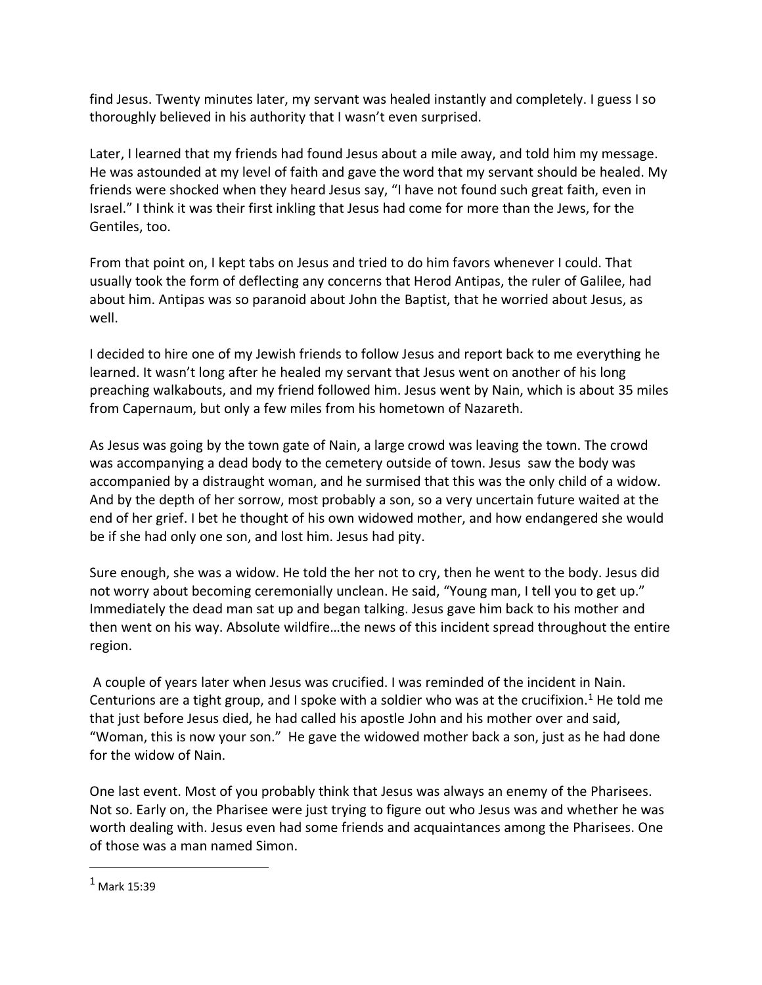find Jesus. Twenty minutes later, my servant was healed instantly and completely. I guess I so thoroughly believed in his authority that I wasn't even surprised.

Later, I learned that my friends had found Jesus about a mile away, and told him my message. He was astounded at my level of faith and gave the word that my servant should be healed. My friends were shocked when they heard Jesus say, "I have not found such great faith, even in Israel." I think it was their first inkling that Jesus had come for more than the Jews, for the Gentiles, too.

From that point on, I kept tabs on Jesus and tried to do him favors whenever I could. That usually took the form of deflecting any concerns that Herod Antipas, the ruler of Galilee, had about him. Antipas was so paranoid about John the Baptist, that he worried about Jesus, as well.

I decided to hire one of my Jewish friends to follow Jesus and report back to me everything he learned. It wasn't long after he healed my servant that Jesus went on another of his long preaching walkabouts, and my friend followed him. Jesus went by Nain, which is about 35 miles from Capernaum, but only a few miles from his hometown of Nazareth.

As Jesus was going by the town gate of Nain, a large crowd was leaving the town. The crowd was accompanying a dead body to the cemetery outside of town. Jesus saw the body was accompanied by a distraught woman, and he surmised that this was the only child of a widow. And by the depth of her sorrow, most probably a son, so a very uncertain future waited at the end of her grief. I bet he thought of his own widowed mother, and how endangered she would be if she had only one son, and lost him. Jesus had pity.

Sure enough, she was a widow. He told the her not to cry, then he went to the body. Jesus did not worry about becoming ceremonially unclean. He said, "Young man, I tell you to get up." Immediately the dead man sat up and began talking. Jesus gave him back to his mother and then went on his way. Absolute wildfire…the news of this incident spread throughout the entire region.

A couple of years later when Jesus was crucified. I was reminded of the incident in Nain. Centurions are a tight group, and I spoke with a soldier who was at the crucifixion.<sup>1</sup> He told me that just before Jesus died, he had called his apostle John and his mother over and said, "Woman, this is now your son." He gave the widowed mother back a son, just as he had done for the widow of Nain.

One last event. Most of you probably think that Jesus was always an enemy of the Pharisees. Not so. Early on, the Pharisee were just trying to figure out who Jesus was and whether he was worth dealing with. Jesus even had some friends and acquaintances among the Pharisees. One of those was a man named Simon.

 $\overline{a}$ 

 $<sup>1</sup>$  Mark 15:39</sup>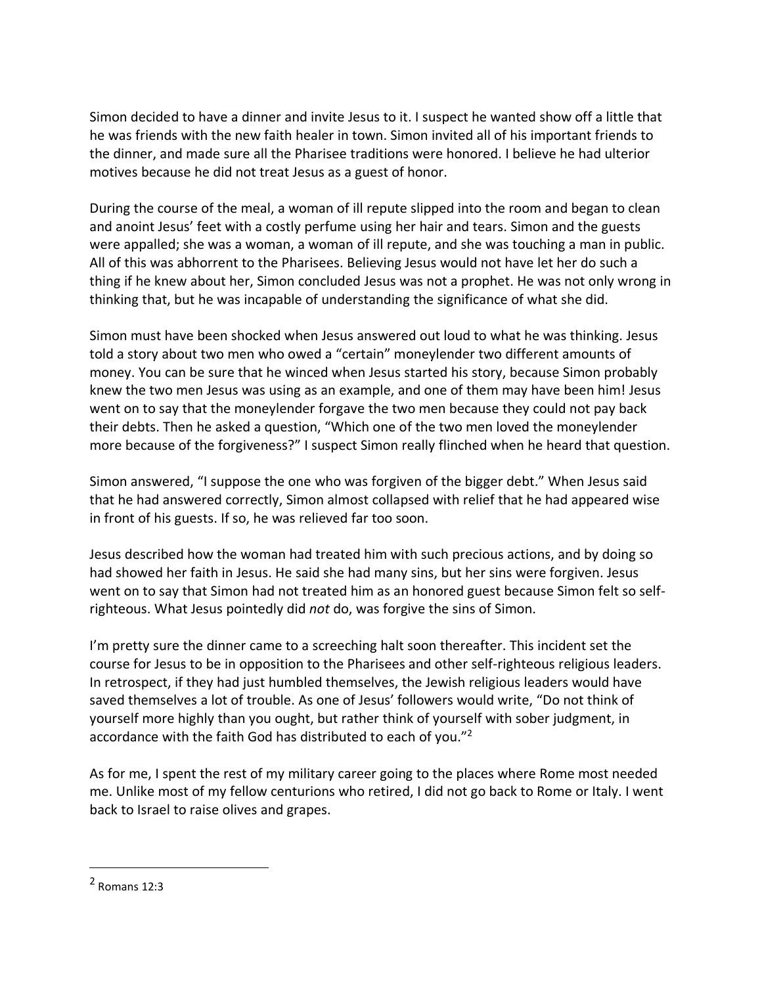Simon decided to have a dinner and invite Jesus to it. I suspect he wanted show off a little that he was friends with the new faith healer in town. Simon invited all of his important friends to the dinner, and made sure all the Pharisee traditions were honored. I believe he had ulterior motives because he did not treat Jesus as a guest of honor.

During the course of the meal, a woman of ill repute slipped into the room and began to clean and anoint Jesus' feet with a costly perfume using her hair and tears. Simon and the guests were appalled; she was a woman, a woman of ill repute, and she was touching a man in public. All of this was abhorrent to the Pharisees. Believing Jesus would not have let her do such a thing if he knew about her, Simon concluded Jesus was not a prophet. He was not only wrong in thinking that, but he was incapable of understanding the significance of what she did.

Simon must have been shocked when Jesus answered out loud to what he was thinking. Jesus told a story about two men who owed a "certain" moneylender two different amounts of money. You can be sure that he winced when Jesus started his story, because Simon probably knew the two men Jesus was using as an example, and one of them may have been him! Jesus went on to say that the moneylender forgave the two men because they could not pay back their debts. Then he asked a question, "Which one of the two men loved the moneylender more because of the forgiveness?" I suspect Simon really flinched when he heard that question.

Simon answered, "I suppose the one who was forgiven of the bigger debt." When Jesus said that he had answered correctly, Simon almost collapsed with relief that he had appeared wise in front of his guests. If so, he was relieved far too soon.

Jesus described how the woman had treated him with such precious actions, and by doing so had showed her faith in Jesus. He said she had many sins, but her sins were forgiven. Jesus went on to say that Simon had not treated him as an honored guest because Simon felt so selfrighteous. What Jesus pointedly did *not* do, was forgive the sins of Simon.

I'm pretty sure the dinner came to a screeching halt soon thereafter. This incident set the course for Jesus to be in opposition to the Pharisees and other self-righteous religious leaders. In retrospect, if they had just humbled themselves, the Jewish religious leaders would have saved themselves a lot of trouble. As one of Jesus' followers would write, "Do not think of yourself more highly than you ought, but rather think of yourself with sober judgment, in accordance with the faith God has distributed to each of you."<sup>2</sup>

As for me, I spent the rest of my military career going to the places where Rome most needed me. Unlike most of my fellow centurions who retired, I did not go back to Rome or Italy. I went back to Israel to raise olives and grapes.

 $\overline{a}$ 

<sup>2</sup> Romans 12:3